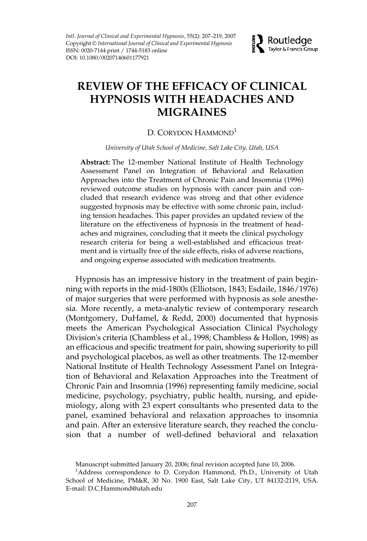*Intl. Journal of Clinical and Experimental Hypnosis*, 55(2): 207–219, 2007 Copyright © *International Journal of Clinical and Experimental Hypnosis* ISSN: 0020-7144 print / 1744-5183 online DOI: 10.1080/00207140601177921



# NHYP 0020-7144 1744-5183Intl. Journal of Clinical and Experimental Hypnosis, Vol. 55, No. 2, January 2007: pp. 1–24 Hypnosis **REVIEW OF THE EFFICACY OF CLINICAL HYPNOSIS WITH HEADACHES AND MIGRAINES**

## D. CORYDON HAMMOND<sup>1</sup>

#### *University of Utah School of Medicine, Salt Lake City, Utah, USA*

**Abstract:** The 12-member National Institute of Health Technology Assessment Panel on Integration of Behavioral and Relaxation Approaches into the Treatment of Chronic Pain and Insomnia (1996) reviewed outcome studies on hypnosis with cancer pain and concluded that research evidence was strong and that other evidence suggested hypnosis may be effective with some chronic pain, including tension headaches. This paper provides an updated review of the literature on the effectiveness of hypnosis in the treatment of headaches and migraines, concluding that it meets the clinical psychology research criteria for being a well-established and efficacious treatment and is virtually free of the side effects, risks of adverse reactions, and ongoing expense associated with medication treatments.

Hypnosis has an impressive history in the treatment of pain beginning with reports in the mid-1800s (Elliotson, 1843; Esdaile, 1846/1976) of major surgeries that were performed with hypnosis as sole anesthesia. More recently, a meta-analytic review of contemporary research (Montgomery, DuHamel, & Redd, 2000) documented that hypnosis meets the American Psychological Association Clinical Psychology Division's criteria (Chambless et al., 1998; Chambless & Hollon, 1998) as an efficacious and specific treatment for pain, showing superiority to pill and psychological placebos, as well as other treatments. The 12-member National Institute of Health Technology Assessment Panel on Integration of Behavioral and Relaxation Approaches into the Treatment of Chronic Pain and Insomnia (1996) representing family medicine, social medicine, psychology, psychiatry, public health, nursing, and epidemiology, along with 23 expert consultants who presented data to the panel, examined behavioral and relaxation approaches to insomnia and pain. After an extensive literature search, they reached the conclusion that a number of well-defined behavioral and relaxation

Manuscript submitted January 20, 2006; final revision accepted June 10, 2006.

<sup>&</sup>lt;sup>1</sup>Address correspondence to D. Corydon Hammond, Ph.D., University of Utah School of Medicine, PM&R, 30 No. 1900 East, Salt Lake City, UT 84132-2119, USA. E-mail: D.C.Hammond@utah.edu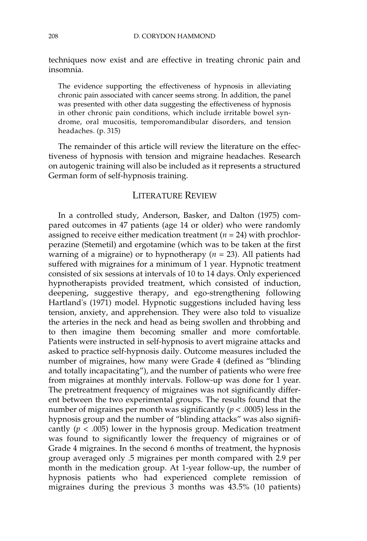techniques now exist and are effective in treating chronic pain and insomnia.

The evidence supporting the effectiveness of hypnosis in alleviating chronic pain associated with cancer seems strong. In addition, the panel was presented with other data suggesting the effectiveness of hypnosis in other chronic pain conditions, which include irritable bowel syndrome, oral mucositis, temporomandibular disorders, and tension headaches. (p. 315)

The remainder of this article will review the literature on the effectiveness of hypnosis with tension and migraine headaches. Research on autogenic training will also be included as it represents a structured German form of self-hypnosis training.

# LITERATURE REVIEW

In a controlled study, Anderson, Basker, and Dalton (1975) compared outcomes in 47 patients (age 14 or older) who were randomly assigned to receive either medication treatment (*n* = 24) with prochlorperazine (Stemetil) and ergotamine (which was to be taken at the first warning of a migraine) or to hypnotherapy (*n* = 23). All patients had suffered with migraines for a minimum of 1 year. Hypnotic treatment consisted of six sessions at intervals of 10 to 14 days. Only experienced hypnotherapists provided treatment, which consisted of induction, deepening, suggestive therapy, and ego-strengthening following Hartland's (1971) model. Hypnotic suggestions included having less tension, anxiety, and apprehension. They were also told to visualize the arteries in the neck and head as being swollen and throbbing and to then imagine them becoming smaller and more comfortable. Patients were instructed in self-hypnosis to avert migraine attacks and asked to practice self-hypnosis daily. Outcome measures included the number of migraines, how many were Grade 4 (defined as "blinding and totally incapacitating"), and the number of patients who were free from migraines at monthly intervals. Follow-up was done for 1 year. The pretreatment frequency of migraines was not significantly different between the two experimental groups. The results found that the number of migraines per month was significantly ( $p < .0005$ ) less in the hypnosis group and the number of "blinding attacks" was also significantly  $(p < .005)$  lower in the hypnosis group. Medication treatment was found to significantly lower the frequency of migraines or of Grade 4 migraines. In the second 6 months of treatment, the hypnosis group averaged only .5 migraines per month compared with 2.9 per month in the medication group. At 1-year follow-up, the number of hypnosis patients who had experienced complete remission of migraines during the previous 3 months was 43.5% (10 patients)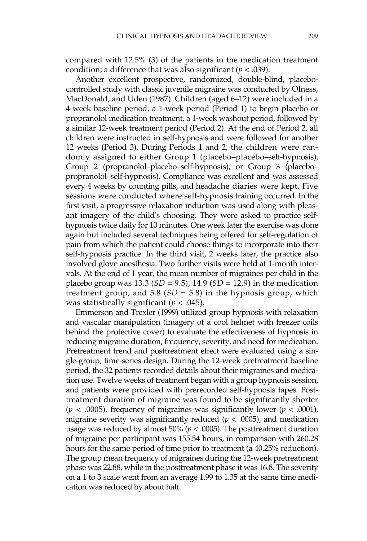compared with 12.5% (3) of the patients in the medication treatment condition; a difference that was also significant ( $p < .039$ ).

Another excellent prospective, randomized, double-blind, placebocontrolled study with classic juvenile migraine was conducted by Olness, MacDonald, and Uden (1987). Children (aged 6–12) were included in a 4-week baseline period, a 1-week period (Period 1) to begin placebo or propranolol medication treatment, a 1-week washout period, followed by a similar 12-week treatment period (Period 2). At the end of Period 2, all children were instructed in self-hypnosis and were followed for another 12 weeks (Period 3). During Periods 1 and 2, the children were randomly assigned to either Group 1 (placebo–placebo–self-hypnosis), Group 2 (propranolol–placebo–self-hypnosis), or Group 3 (placebo– propranolol–self-hypnosis). Compliance was excellent and was assessed every 4 weeks by counting pills, and headache diaries were kept. Five sessions were conducted where self-hypnosis training occurred. In the first visit, a progressive relaxation induction was used along with pleasant imagery of the child's choosing. They were asked to practice selfhypnosis twice daily for 10 minutes. One week later the exercise was done again but included several techniques being offered for self-regulation of pain from which the patient could choose things to incorporate into their self-hypnosis practice. In the third visit, 2 weeks later, the practice also involved glove anesthesia. Two further visits were held at 1-month intervals. At the end of 1 year, the mean number of migraines per child in the placebo group was 13.3 ( $SD = 9.5$ ), 14.9 ( $SD = 12.9$ ) in the medication treatment group, and  $5.8$  ( $SD = 5.8$ ) in the hypnosis group, which was statistically significant (*p* < .045).

Emmerson and Trexler (1999) utilized group hypnosis with relaxation and vascular manipulation (imagery of a cool helmet with freezer coils behind the protective cover) to evaluate the effectiveness of hypnosis in reducing migraine duration, frequency, severity, and need for medication. Pretreatment trend and posttreatment effect were evaluated using a single-group, time-series design. During the 12-week pretreatment baseline period, the 32 patients recorded details about their migraines and medication use. Twelve weeks of treatment began with a group hypnosis session, and patients were provided with prerecorded self-hypnosis tapes. Posttreatment duration of migraine was found to be significantly shorter ( $p < .0005$ ), frequency of migraines was significantly lower ( $p < .0001$ ), migraine severity was significantly reduced ( $p < .0005$ ), and medication usage was reduced by almost  $50\%$  ( $p < .0005$ ). The posttreatment duration of migraine per participant was 155.54 hours, in comparison with 260.28 hours for the same period of time prior to treatment (a 40.25% reduction). The group mean frequency of migraines during the 12-week pretreatment phase was 22.88, while in the posttreatment phase it was 16.8. The severity on a 1 to 3 scale went from an average 1.99 to 1.35 at the same time medication was reduced by about half.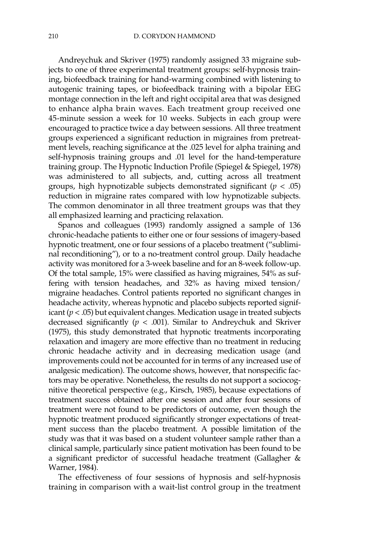Andreychuk and Skriver (1975) randomly assigned 33 migraine subjects to one of three experimental treatment groups: self-hypnosis training, biofeedback training for hand-warming combined with listening to autogenic training tapes, or biofeedback training with a bipolar EEG montage connection in the left and right occipital area that was designed to enhance alpha brain waves. Each treatment group received one 45-minute session a week for 10 weeks. Subjects in each group were encouraged to practice twice a day between sessions. All three treatment groups experienced a significant reduction in migraines from pretreatment levels, reaching significance at the .025 level for alpha training and self-hypnosis training groups and .01 level for the hand-temperature training group. The Hypnotic Induction Profile (Spiegel & Spiegel, 1978) was administered to all subjects, and, cutting across all treatment groups, high hypnotizable subjects demonstrated significant (*p* < .05) reduction in migraine rates compared with low hypnotizable subjects. The common denominator in all three treatment groups was that they all emphasized learning and practicing relaxation.

Spanos and colleagues (1993) randomly assigned a sample of 136 chronic-headache patients to either one or four sessions of imagery-based hypnotic treatment, one or four sessions of a placebo treatment ("subliminal reconditioning"), or to a no-treatment control group. Daily headache activity was monitored for a 3-week baseline and for an 8-week follow-up. Of the total sample, 15% were classified as having migraines, 54% as suffering with tension headaches, and 32% as having mixed tension/ migraine headaches. Control patients reported no significant changes in headache activity, whereas hypnotic and placebo subjects reported significant  $(p < .05)$  but equivalent changes. Medication usage in treated subjects decreased significantly ( $p < .001$ ). Similar to Andreychuk and Skriver (1975), this study demonstrated that hypnotic treatments incorporating relaxation and imagery are more effective than no treatment in reducing chronic headache activity and in decreasing medication usage (and improvements could not be accounted for in terms of any increased use of analgesic medication). The outcome shows, however, that nonspecific factors may be operative. Nonetheless, the results do not support a sociocognitive theoretical perspective (e.g., Kirsch, 1985), because expectations of treatment success obtained after one session and after four sessions of treatment were not found to be predictors of outcome, even though the hypnotic treatment produced significantly stronger expectations of treatment success than the placebo treatment. A possible limitation of the study was that it was based on a student volunteer sample rather than a clinical sample, particularly since patient motivation has been found to be a significant predictor of successful headache treatment (Gallagher & Warner, 1984).

The effectiveness of four sessions of hypnosis and self-hypnosis training in comparison with a wait-list control group in the treatment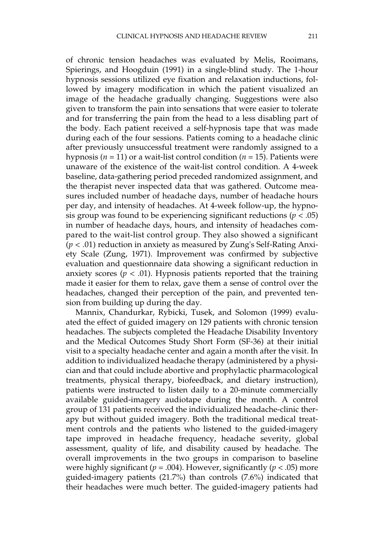of chronic tension headaches was evaluated by Melis, Rooimans, Spierings, and Hoogduin (1991) in a single-blind study. The 1-hour hypnosis sessions utilized eye fixation and relaxation inductions, followed by imagery modification in which the patient visualized an image of the headache gradually changing. Suggestions were also given to transform the pain into sensations that were easier to tolerate and for transferring the pain from the head to a less disabling part of the body. Each patient received a self-hypnosis tape that was made during each of the four sessions. Patients coming to a headache clinic after previously unsuccessful treatment were randomly assigned to a hypnosis ( $n = 11$ ) or a wait-list control condition ( $n = 15$ ). Patients were unaware of the existence of the wait-list control condition. A 4-week baseline, data-gathering period preceded randomized assignment, and the therapist never inspected data that was gathered. Outcome measures included number of headache days, number of headache hours per day, and intensity of headaches. At 4-week follow-up, the hypnosis group was found to be experiencing significant reductions ( $p < .05$ ) in number of headache days, hours, and intensity of headaches compared to the wait-list control group. They also showed a significant (*p* < .01) reduction in anxiety as measured by Zung's Self-Rating Anxiety Scale (Zung, 1971). Improvement was confirmed by subjective evaluation and questionnaire data showing a significant reduction in anxiety scores ( $p < .01$ ). Hypnosis patients reported that the training made it easier for them to relax, gave them a sense of control over the headaches, changed their perception of the pain, and prevented tension from building up during the day.

Mannix, Chandurkar, Rybicki, Tusek, and Solomon (1999) evaluated the effect of guided imagery on 129 patients with chronic tension headaches. The subjects completed the Headache Disability Inventory and the Medical Outcomes Study Short Form (SF-36) at their initial visit to a specialty headache center and again a month after the visit. In addition to individualized headache therapy (administered by a physician and that could include abortive and prophylactic pharmacological treatments, physical therapy, biofeedback, and dietary instruction), patients were instructed to listen daily to a 20-minute commercially available guided-imagery audiotape during the month. A control group of 131 patients received the individualized headache-clinic therapy but without guided imagery. Both the traditional medical treatment controls and the patients who listened to the guided-imagery tape improved in headache frequency, headache severity, global assessment, quality of life, and disability caused by headache. The overall improvements in the two groups in comparison to baseline were highly significant ( $p = .004$ ). However, significantly ( $p < .05$ ) more guided-imagery patients (21.7%) than controls (7.6%) indicated that their headaches were much better. The guided-imagery patients had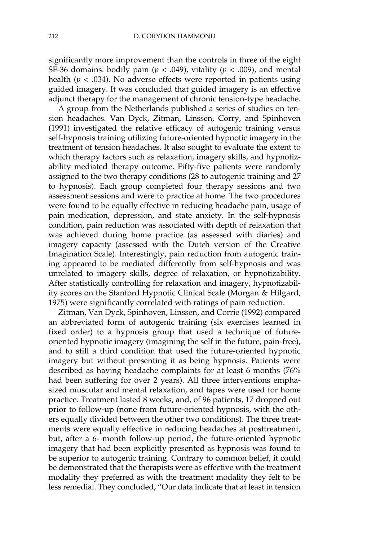significantly more improvement than the controls in three of the eight SF-36 domains: bodily pain ( $p < .049$ ), vitality ( $p < .009$ ), and mental health ( $p < .034$ ). No adverse effects were reported in patients using guided imagery. It was concluded that guided imagery is an effective adjunct therapy for the management of chronic tension-type headache.

A group from the Netherlands published a series of studies on tension headaches. Van Dyck, Zitman, Linssen, Corry, and Spinhoven (1991) investigated the relative efficacy of autogenic training versus self-hypnosis training utilizing future-oriented hypnotic imagery in the treatment of tension headaches. It also sought to evaluate the extent to which therapy factors such as relaxation, imagery skills, and hypnotizability mediated therapy outcome. Fifty-five patients were randomly assigned to the two therapy conditions (28 to autogenic training and 27 to hypnosis). Each group completed four therapy sessions and two assessment sessions and were to practice at home. The two procedures were found to be equally effective in reducing headache pain, usage of pain medication, depression, and state anxiety. In the self-hypnosis condition, pain reduction was associated with depth of relaxation that was achieved during home practice (as assessed with diaries) and imagery capacity (assessed with the Dutch version of the Creative Imagination Scale). Interestingly, pain reduction from autogenic training appeared to be mediated differently from self-hypnosis and was unrelated to imagery skills, degree of relaxation, or hypnotizability. After statistically controlling for relaxation and imagery, hypnotizability scores on the Stanford Hypnotic Clinical Scale (Morgan & Hilgard, 1975) were significantly correlated with ratings of pain reduction.

Zitman, Van Dyck, Spinhoven, Linssen, and Corrie (1992) compared an abbreviated form of autogenic training (six exercises learned in fixed order) to a hypnosis group that used a technique of futureoriented hypnotic imagery (imagining the self in the future, pain-free), and to still a third condition that used the future-oriented hypnotic imagery but without presenting it as being hypnosis. Patients were described as having headache complaints for at least 6 months (76% had been suffering for over 2 years). All three interventions emphasized muscular and mental relaxation, and tapes were used for home practice. Treatment lasted 8 weeks, and, of 96 patients, 17 dropped out prior to follow-up (none from future-oriented hypnosis, with the others equally divided between the other two conditions). The three treatments were equally effective in reducing headaches at posttreatment, but, after a 6- month follow-up period, the future-oriented hypnotic imagery that had been explicitly presented as hypnosis was found to be superior to autogenic training. Contrary to common belief, it could be demonstrated that the therapists were as effective with the treatment modality they preferred as with the treatment modality they felt to be less remedial. They concluded, "Our data indicate that at least in tension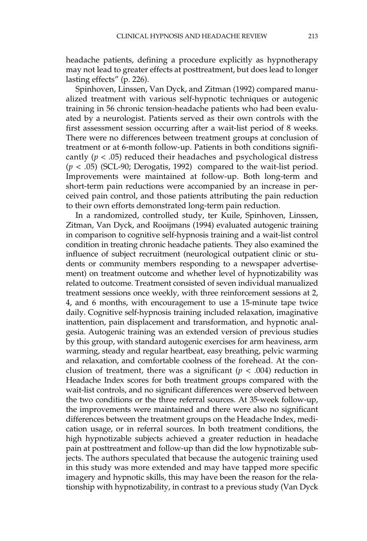headache patients, defining a procedure explicitly as hypnotherapy may not lead to greater effects at posttreatment, but does lead to longer lasting effects" (p. 226).

Spinhoven, Linssen, Van Dyck, and Zitman (1992) compared manualized treatment with various self-hypnotic techniques or autogenic training in 56 chronic tension-headache patients who had been evaluated by a neurologist. Patients served as their own controls with the first assessment session occurring after a wait-list period of 8 weeks. There were no differences between treatment groups at conclusion of treatment or at 6-month follow-up. Patients in both conditions significantly  $(p < .05)$  reduced their headaches and psychological distress  $(p < .05)$  (SCL-90; Derogatis, 1992) compared to the wait-list period. Improvements were maintained at follow-up. Both long-term and short-term pain reductions were accompanied by an increase in perceived pain control, and those patients attributing the pain reduction to their own efforts demonstrated long-term pain reduction.

In a randomized, controlled study, ter Kuile, Spinhoven, Linssen, Zitman, Van Dyck, and Rooijmans (1994) evaluated autogenic training in comparison to cognitive self-hypnosis training and a wait-list control condition in treating chronic headache patients. They also examined the influence of subject recruitment (neurological outpatient clinic or students or community members responding to a newspaper advertisement) on treatment outcome and whether level of hypnotizability was related to outcome. Treatment consisted of seven individual manualized treatment sessions once weekly, with three reinforcement sessions at 2, 4, and 6 months, with encouragement to use a 15-minute tape twice daily. Cognitive self-hypnosis training included relaxation, imaginative inattention, pain displacement and transformation, and hypnotic analgesia. Autogenic training was an extended version of previous studies by this group, with standard autogenic exercises for arm heaviness, arm warming, steady and regular heartbeat, easy breathing, pelvic warming and relaxation, and comfortable coolness of the forehead. At the conclusion of treatment, there was a significant  $(p < .004)$  reduction in Headache Index scores for both treatment groups compared with the wait-list controls, and no significant differences were observed between the two conditions or the three referral sources. At 35-week follow-up, the improvements were maintained and there were also no significant differences between the treatment groups on the Headache Index, medication usage, or in referral sources. In both treatment conditions, the high hypnotizable subjects achieved a greater reduction in headache pain at posttreatment and follow-up than did the low hypnotizable subjects. The authors speculated that because the autogenic training used in this study was more extended and may have tapped more specific imagery and hypnotic skills, this may have been the reason for the relationship with hypnotizability, in contrast to a previous study (Van Dyck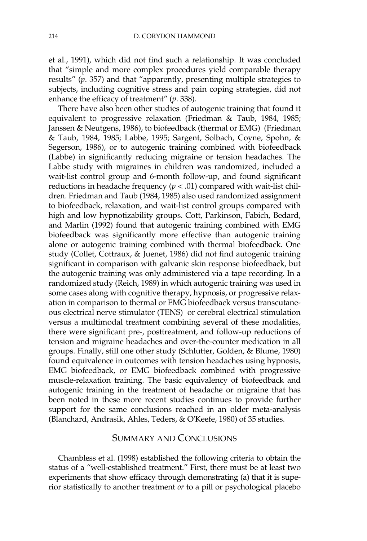et al., 1991), which did not find such a relationship. It was concluded that "simple and more complex procedures yield comparable therapy results" (*p*. 357) and that "apparently, presenting multiple strategies to subjects, including cognitive stress and pain coping strategies, did not enhance the efficacy of treatment" (*p*. 338).

There have also been other studies of autogenic training that found it equivalent to progressive relaxation (Friedman & Taub, 1984, 1985; Janssen & Neutgens, 1986), to biofeedback (thermal or EMG) (Friedman & Taub, 1984, 1985; Labbe, 1995; Sargent, Solbach, Coyne, Spohn, & Segerson, 1986), or to autogenic training combined with biofeedback (Labbe) in significantly reducing migraine or tension headaches. The Labbe study with migraines in children was randomized, included a wait-list control group and 6-month follow-up, and found significant reductions in headache frequency  $(p < .01)$  compared with wait-list children. Friedman and Taub (1984, 1985) also used randomized assignment to biofeedback, relaxation, and wait-list control groups compared with high and low hypnotizability groups. Cott, Parkinson, Fabich, Bedard, and Marlin (1992) found that autogenic training combined with EMG biofeedback was significantly more effective than autogenic training alone or autogenic training combined with thermal biofeedback. One study (Collet, Cottraux, & Juenet, 1986) did not find autogenic training significant in comparison with galvanic skin response biofeedback, but the autogenic training was only administered via a tape recording. In a randomized study (Reich, 1989) in which autogenic training was used in some cases along with cognitive therapy, hypnosis, or progressive relaxation in comparison to thermal or EMG biofeedback versus transcutaneous electrical nerve stimulator (TENS) or cerebral electrical stimulation versus a multimodal treatment combining several of these modalities, there were significant pre-, posttreatment, and follow-up reductions of tension and migraine headaches and over-the-counter medication in all groups. Finally, still one other study (Schlutter, Golden, & Blume, 1980) found equivalence in outcomes with tension headaches using hypnosis, EMG biofeedback, or EMG biofeedback combined with progressive muscle-relaxation training. The basic equivalency of biofeedback and autogenic training in the treatment of headache or migraine that has been noted in these more recent studies continues to provide further support for the same conclusions reached in an older meta-analysis (Blanchard, Andrasik, Ahles, Teders, & O'Keefe, 1980) of 35 studies.

# SUMMARY AND CONCLUSIONS

Chambless et al. (1998) established the following criteria to obtain the status of a "well-established treatment." First, there must be at least two experiments that show efficacy through demonstrating (a) that it is superior statistically to another treatment *or* to a pill or psychological placebo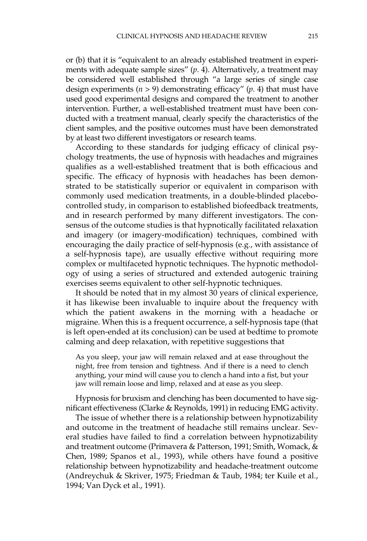or (b) that it is "equivalent to an already established treatment in experiments with adequate sample sizes" (*p*. 4). Alternatively, a treatment may be considered well established through "a large series of single case design experiments ( $n > 9$ ) demonstrating efficacy" ( $p$ . 4) that must have used good experimental designs and compared the treatment to another intervention. Further, a well-established treatment must have been conducted with a treatment manual, clearly specify the characteristics of the client samples, and the positive outcomes must have been demonstrated by at least two different investigators or research teams.

According to these standards for judging efficacy of clinical psychology treatments, the use of hypnosis with headaches and migraines qualifies as a well-established treatment that is both efficacious and specific. The efficacy of hypnosis with headaches has been demonstrated to be statistically superior or equivalent in comparison with commonly used medication treatments, in a double-blinded placebocontrolled study, in comparison to established biofeedback treatments, and in research performed by many different investigators. The consensus of the outcome studies is that hypnotically facilitated relaxation and imagery (or imagery-modification) techniques, combined with encouraging the daily practice of self-hypnosis (e.g., with assistance of a self-hypnosis tape), are usually effective without requiring more complex or multifaceted hypnotic techniques. The hypnotic methodology of using a series of structured and extended autogenic training exercises seems equivalent to other self-hypnotic techniques.

It should be noted that in my almost 30 years of clinical experience, it has likewise been invaluable to inquire about the frequency with which the patient awakens in the morning with a headache or migraine. When this is a frequent occurrence, a self-hypnosis tape (that is left open-ended at its conclusion) can be used at bedtime to promote calming and deep relaxation, with repetitive suggestions that

As you sleep, your jaw will remain relaxed and at ease throughout the night, free from tension and tightness. And if there is a need to clench anything, your mind will cause you to clench a hand into a fist, but your jaw will remain loose and limp, relaxed and at ease as you sleep.

Hypnosis for bruxism and clenching has been documented to have significant effectiveness (Clarke & Reynolds, 1991) in reducing EMG activity.

The issue of whether there is a relationship between hypnotizability and outcome in the treatment of headache still remains unclear. Several studies have failed to find a correlation between hypnotizability and treatment outcome (Primavera & Patterson, 1991; Smith, Womack, & Chen, 1989; Spanos et al., 1993), while others have found a positive relationship between hypnotizability and headache-treatment outcome (Andreychuk & Skriver, 1975; Friedman & Taub, 1984; ter Kuile et al., 1994; Van Dyck et al., 1991).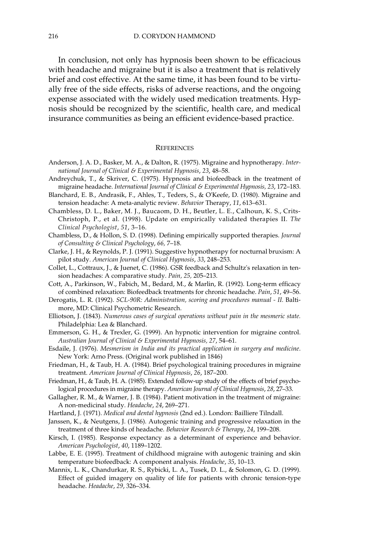In conclusion, not only has hypnosis been shown to be efficacious with headache and migraine but it is also a treatment that is relatively brief and cost effective. At the same time, it has been found to be virtually free of the side effects, risks of adverse reactions, and the ongoing expense associated with the widely used medication treatments. Hypnosis should be recognized by the scientific, health care, and medical insurance communities as being an efficient evidence-based practice.

#### **REFERENCES**

- Anderson, J. A. D., Basker, M. A., & Dalton, R. (1975). Migraine and hypnotherapy. *International Journal of Clinical & Experimental Hypnosis*, *23*, 48–58.
- Andreychuk, T., & Skriver, C. (1975). Hypnosis and biofeedback in the treatment of migraine headache. *International Journal of Clinical & Experimental Hypnosis, 23*, 172–183.
- Blanchard, E. B., Andrasik, F., Ahles, T., Teders, S., & O'Keefe, D. (1980). Migraine and tension headache: A meta-analytic review. *Behavior* Therapy, *11*, 613–631.
- Chambless, D. L., Baker, M. J., Baucaom, D. H., Beutler, L. E., Calhoun, K. S., Crits-Christoph, P., et al. (1998). Update on empirically validated therapies II. *The Clinical Psychologist*, *51*, 3–16.
- Chambless, D., & Hollon, S. D. (1998). Defining empirically supported therapies. *Journal of Consulting & Clinical Psychology*, *66,* 7–18.
- Clarke, J. H., & Reynolds, P. J. (1991). Suggestive hypnotherapy for nocturnal bruxism: A pilot study. *American Journal of Clinical Hypnosis*, *33*, 248–253.
- Collet, L., Cottraux, J., & Juenet, C. (1986). GSR feedback and Schultz's relaxation in tension headaches: A comparative study. *Pain, 25,* 205–213.

Cott, A., Parkinson, W., Fabich, M., Bedard, M., & Marlin, R. (1992). Long-term efficacy of combined relaxation: Biofeedback treatments for chronic headache. *Pain*, *51*, 49–56.

- Derogatis, L. R. (1992). *SCL-90R: Administration, scoring and procedures manual II.* Baltimore, MD: Clinical Psychometric Research.
- Elliotson, J. (1843). *Numerous cases of surgical operations without pain in the mesmeric state.* Philadelphia: Lea & Blanchard.
- Emmerson, G. H., & Trexler, G. (1999). An hypnotic intervention for migraine control. *Australian Journal of Clinical & Experimental Hypnosis, 27*, 54–61.
- Esdaile, J. (1976). *Mesmerism in India and its practical application in surgery and medicine*. New York: Arno Press. (Original work published in 1846)
- Friedman, H., & Taub, H. A. (1984). Brief psychological training procedures in migraine treatment. *American Journal of Clinical Hypnosis*, *26*, 187–200.
- Friedman, H., & Taub, H. A. (1985). Extended follow-up study of the effects of brief psychological procedures in migraine therapy. *American Journal of Clinical Hypnosis*, *28*, 27–33.
- Gallagher, R. M., & Warner, J. B. (1984). Patient motivation in the treatment of migraine: A non-medicinal study. *Headache*, *24*, 269–271.
- Hartland, J. (1971). *Medical and dental hypnosis* (2nd ed.). London: Bailliere Tilndall.
- Janssen, K., & Neutgens, J. (1986). Autogenic training and progressive relaxation in the treatment of three kinds of headache. *Behavior Research & Therapy*, *24*, 199–208.
- Kirsch, I. (1985). Response expectancy as a determinant of experience and behavior. *American Psychologist*, *40*, 1189–1202.
- Labbe, E. E. (1995). Treatment of childhood migraine with autogenic training and skin temperature biofeedback: A component analysis. *Headache*, *35*, 10–13.
- Mannix, L. K., Chandurkar, R. S., Rybicki, L. A., Tusek, D. L., & Solomon, G. D. (1999). Effect of guided imagery on quality of life for patients with chronic tension-type headache. *Headache*, *29*, 326–334.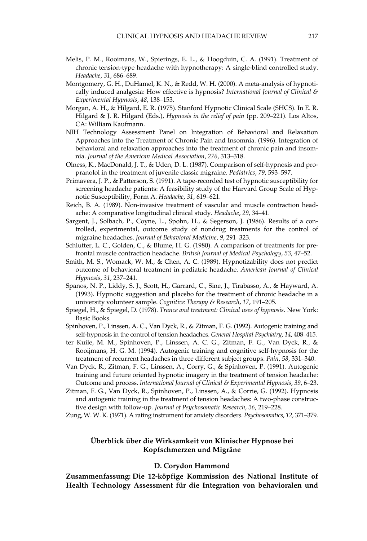- Melis, P. M., Rooimans, W., Spierings, E. L., & Hoogduin, C. A. (1991). Treatment of chronic tension-type headache with hypnotherapy: A single-blind controlled study. *Headache*, *31*, 686–689.
- Montgomery, G. H., DuHamel, K. N., & Redd, W. H. (2000). A meta-analysis of hypnotically induced analgesia: How effective is hypnosis? *International Journal of Clinical & Experimental Hypnosis*, *48*, 138–153.
- Morgan, A. H., & Hilgard, E. R. (1975). Stanford Hypnotic Clinical Scale (SHCS). In E. R. Hilgard & J. R. Hilgard (Eds.), *Hypnosis in the relief of pain* (pp. 209–221). Los Altos, CA: William Kaufmann.
- NIH Technology Assessment Panel on Integration of Behavioral and Relaxation Approaches into the Treatment of Chronic Pain and Insomnia. (1996). Integration of behavioral and relaxation approaches into the treatment of chronic pain and insomnia. *Journal of the American Medical Association*, *276*, 313–318.
- Olness, K., MacDonald, J. T., & Uden, D. L. (1987). Comparison of self-hypnosis and propranolol in the treatment of juvenile classic migraine. *Pediatrics*, *79*, 593–597.
- Primavera, J. P., & Patterson, S. (1991). A tape-recorded test of hypnotic susceptibility for screening headache patients: A feasibility study of the Harvard Group Scale of Hypnotic Susceptibility, Form A. *Headache*, *31*, 619–621.
- Reich, B. A. (1989). Non-invasive treatment of vascular and muscle contraction headache: A comparative longitudinal clinical study. *Headache*, *29*, 34–41.
- Sargent, J., Solbach, P., Coyne, L., Spohn, H., & Segerson, J. (1986). Results of a controlled, experimental, outcome study of nondrug treatments for the control of migraine headaches. *Journal of Behavioral Medicine*, *9*, 291–323.
- Schlutter, L. C., Golden, C., & Blume, H. G. (1980). A comparison of treatments for prefrontal muscle contraction headache. *British Journal of Medical Psychology*, *53*, 47–52.
- Smith, M. S., Womack, W. M., & Chen, A. C. (1989). Hypnotizability does not predict outcome of behavioral treatment in pediatric headache. *American Journal of Clinical Hypnosis*, *31*, 237–241.
- Spanos, N. P., Liddy, S. J., Scott, H., Garrard, C., Sine, J., Tirabasso, A., & Hayward, A. (1993). Hypnotic suggestion and placebo for the treatment of chronic headache in a university volunteer sample. *Cognitive Therapy & Research*, *17*, 191–205.
- Spiegel, H., & Spiegel, D. (1978). *Trance and treatment: Clinical uses of hypnosis*. New York: Basic Books.
- Spinhoven, P., Linssen, A. C., Van Dyck, R., & Zitman, F. G. (1992). Autogenic training and self-hypnosis in the control of tension headaches. *General Hospital Psychiatry*, *14*, 408–415.
- ter Kuile, M. M., Spinhoven, P., Linssen, A. C. G., Zitman, F. G., Van Dyck, R., & Rooijmans, H. G. M. (1994). Autogenic training and cognitive self-hypnosis for the treatment of recurrent headaches in three different subject groups. *Pain*, *58*, 331–340.
- Van Dyck, R., Zitman, F. G., Linssen, A., Corry, G., & Spinhoven, P. (1991). Autogenic training and future oriented hypnotic imagery in the treatment of tension headache: Outcome and process. *International Journal of Clinical & Experimental Hypnosis*, *39*, 6–23.
- Zitman, F. G., Van Dyck, R., Spinhoven, P., Linssen, A., & Corrie, G. (1992). Hypnosis and autogenic training in the treatment of tension headaches: A two-phase constructive design with follow-up. *Journal of Psychosomatic Research*, *36*, 219–228.
- Zung, W. W. K. (1971). A rating instrument for anxiety disorders. *Psychosomatics*, *12*, 371–379.

## **Überblick über die Wirksamkeit von Klinischer Hypnose bei Kopfschmerzen und Migräne**

### **D. Corydon Hammond**

**Zusammenfassung: Die 12-köpfige Kommission des National Institute of Health Technology Assessment für die Integration von behavioralen und**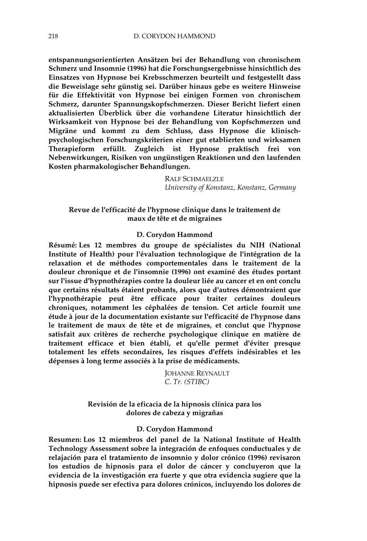**entspannungsorientierten Ansätzen bei der Behandlung von chronischem Schmerz und Insomnie (1996) hat die Forschungsergebnisse hinsichtlich des Einsatzes von Hypnose bei Krebsschmerzen beurteilt und festgestellt dass die Beweislage sehr günstig sei. Darüber hinaus gebe es weitere Hinweise für die Effektivität von Hypnose bei einigen Formen von chronischem Schmerz, darunter Spannungskopfschmerzen. Dieser Bericht liefert einen aktualisierten Überblick über die vorhandene Literatur hinsichtlich der Wirksamkeit von Hypnose bei der Behandlung von Kopfschmerzen und Migräne und kommt zu dem Schluss, dass Hypnose die klinischpsychologischen Forschungskriterien einer gut etablierten und wirksamen Therapieform erfüllt. Zugleich ist Hypnose praktisch frei von Nebenwirkungen, Risiken von ungünstigen Reaktionen und den laufenden Kosten pharmakologischer Behandlungen.**

> RALF SCHMAELZLE *University of Konstanz, Konstanz, Germany*

## **Revue de l'efficacité de l'hypnose clinique dans le traitement de maux de tête et de migraines**

#### **D. Corydon Hammond**

**Résumé: Les 12 membres du groupe de spécialistes du NIH (National Institute of Health) pour l'évaluation technologique de l'intégration de la relaxation et de méthodes comportementales dans le traitement de la douleur chronique et de l'insomnie (1996) ont examiné des études portant sur l'issue d'hypnothérapies contre la douleur liée au cancer et en ont conclu que certains résultats étaient probants, alors que d'autres démontraient que l'hypnothérapie peut être efficace pour traiter certaines douleurs chroniques, notamment les céphalées de tension. Cet article fournit une étude à jour de la documentation existante sur l'efficacité de l'hypnose dans le traitement de maux de tête et de migraines, et conclut que l'hypnose satisfait aux critères de recherche psychologique clinique en matière de traitement efficace et bien établi, et qu'elle permet d'éviter presque totalement les effets secondaires, les risques d'effets indésirables et les dépenses à long terme associés à la prise de médicaments.**

> JOHANNE REYNAULT *C. Tr. (STIBC)*

**Revisión de la eficacia de la hipnosis clínica para los dolores de cabeza y migrañas**

### **D. Corydon Hammond**

**Resumen: Los 12 miembros del panel de la National Institute of Health Technology Assessment sobre la integración de enfoques conductuales y de relajación para el tratamiento de insomnio y dolor crónico (1996) revisaron los estudios de hipnosis para el dolor de cáncer y concluyeron que la evidencia de la investigación era fuerte y que otra evidencia sugiere que la hipnosis puede ser efectiva para dolores crónicos, incluyendo los dolores de**